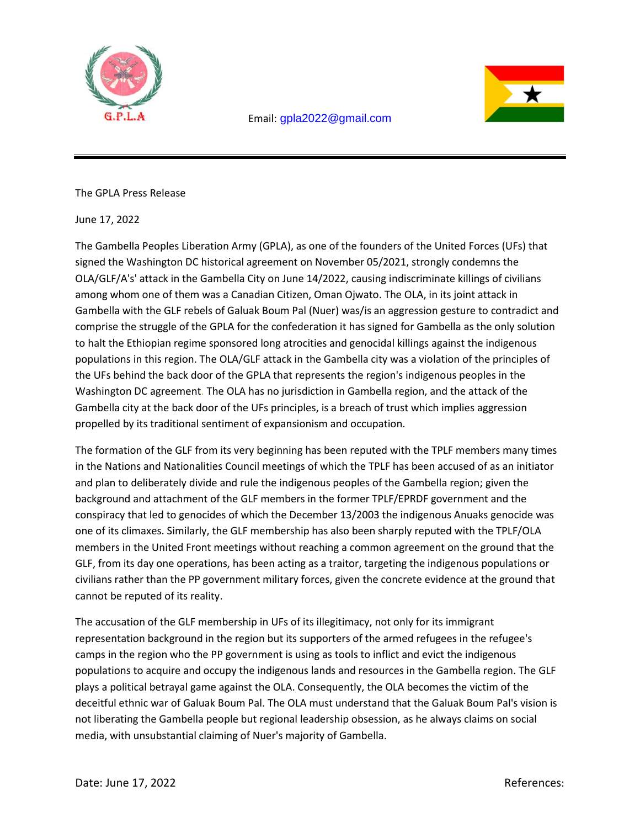



The GPLA Press Release

June 17, 2022

The Gambella Peoples Liberation Army (GPLA), as one of the founders of the United Forces (UFs) that signed the Washington DC historical agreement on November 05/2021, strongly condemns the OLA/GLF/A's' attack in the Gambella City on June 14/2022, causing indiscriminate killings of civilians among whom one of them was a Canadian Citizen, Oman Ojwato. The OLA, in its joint attack in Gambella with the GLF rebels of Galuak Boum Pal (Nuer) was/is an aggression gesture to contradict and comprise the struggle of the GPLA for the confederation it has signed for Gambella as the only solution to halt the Ethiopian regime sponsored long atrocities and genocidal killings against the indigenous populations in this region. The OLA/GLF attack in the Gambella city was a violation of the principles of the UFs behind the back door of the GPLA that represents the region's indigenous peoples in the Washington DC agreement. The OLA has no jurisdiction in Gambella region, and the attack of the Gambella city at the back door of the UFs principles, is a breach of trust which implies aggression propelled by its traditional sentiment of expansionism and occupation.

The formation of the GLF from its very beginning has been reputed with the TPLF members many times in the Nations and Nationalities Council meetings of which the TPLF has been accused of as an initiator and plan to deliberately divide and rule the indigenous peoples of the Gambella region; given the background and attachment of the GLF members in the former TPLF/EPRDF government and the conspiracy that led to genocides of which the December 13/2003 the indigenous Anuaks genocide was one of its climaxes. Similarly, the GLF membership has also been sharply reputed with the TPLF/OLA members in the United Front meetings without reaching a common agreement on the ground that the GLF, from its day one operations, has been acting as a traitor, targeting the indigenous populations or civilians rather than the PP government military forces, given the concrete evidence at the ground that cannot be reputed of its reality.

The accusation of the GLF membership in UFs of its illegitimacy, not only for its immigrant representation background in the region but its supporters of the armed refugees in the refugee's camps in the region who the PP government is using as tools to inflict and evict the indigenous populations to acquire and occupy the indigenous lands and resources in the Gambella region. The GLF plays a political betrayal game against the OLA. Consequently, the OLA becomes the victim of the deceitful ethnic war of Galuak Boum Pal. The OLA must understand that the Galuak Boum Pal's vision is not liberating the Gambella people but regional leadership obsession, as he always claims on social media, with unsubstantial claiming of Nuer's majority of Gambella.